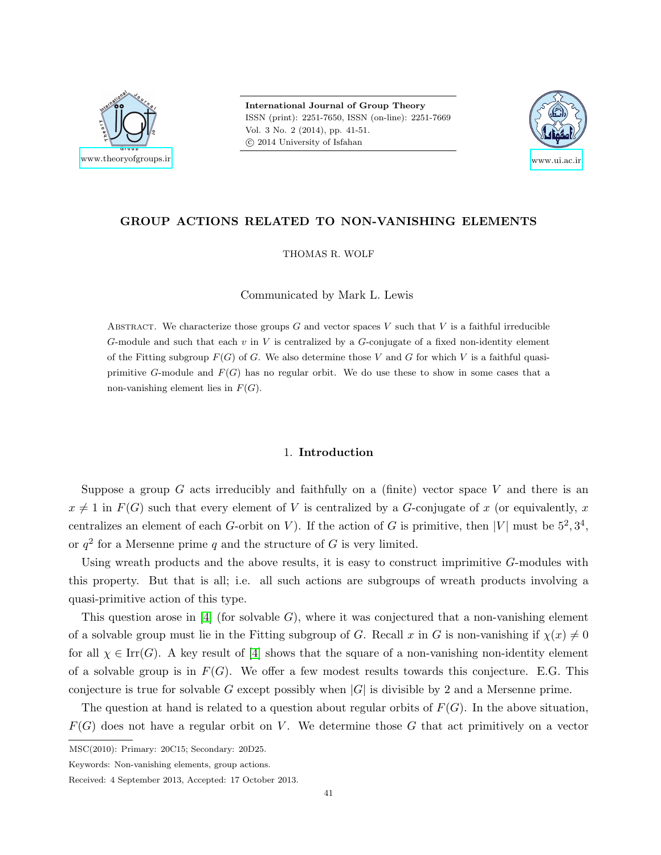

International Journal of Group Theory ISSN (print): 2251-7650, ISSN (on-line): 2251-7669 Vol. 3 No. 2 (2014), pp. 41-51. c 2014 University of Isfahan



# GROUP ACTIONS RELATED TO NON-VANISHING ELEMENTS

THOMAS R. WOLF

Communicated by Mark L. Lewis

ABSTRACT. We characterize those groups  $G$  and vector spaces  $V$  such that  $V$  is a faithful irreducible G-module and such that each  $v$  in  $V$  is centralized by a G-conjugate of a fixed non-identity element of the Fitting subgroup  $F(G)$  of G. We also determine those V and G for which V is a faithful quasiprimitive G-module and  $F(G)$  has no regular orbit. We do use these to show in some cases that a non-vanishing element lies in  $F(G)$ .

# 1. Introduction

Suppose a group G acts irreducibly and faithfully on a (finite) vector space V and there is an  $x \neq 1$  in  $F(G)$  such that every element of V is centralized by a G-conjugate of x (or equivalently, x centralizes an element of each G-orbit on V). If the action of G is primitive, then |V| must be  $5^2, 3^4$ , or  $q^2$  for a Mersenne prime q and the structure of G is very limited.

Using wreath products and the above results, it is easy to construct imprimitive G-modules with this property. But that is all; i.e. all such actions are subgroups of wreath products involving a quasi-primitive action of this type.

This question arose in [\[4\]](#page-10-0) (for solvable  $G$ ), where it was conjectured that a non-vanishing element of a solvable group must lie in the Fitting subgroup of G. Recall x in G is non-vanishing if  $\chi(x) \neq 0$ for all  $\chi \in \text{Irr}(G)$ . A key result of [\[4\]](#page-10-0) shows that the square of a non-vanishing non-identity element of a solvable group is in  $F(G)$ . We offer a few modest results towards this conjecture. E.G. This conjecture is true for solvable G except possibly when  $|G|$  is divisible by 2 and a Mersenne prime.

The question at hand is related to a question about regular orbits of  $F(G)$ . In the above situation,  $F(G)$  does not have a regular orbit on V. We determine those G that act primitively on a vector

MSC(2010): Primary: 20C15; Secondary: 20D25.

Keywords: Non-vanishing elements, group actions.

Received: 4 September 2013, Accepted: 17 October 2013.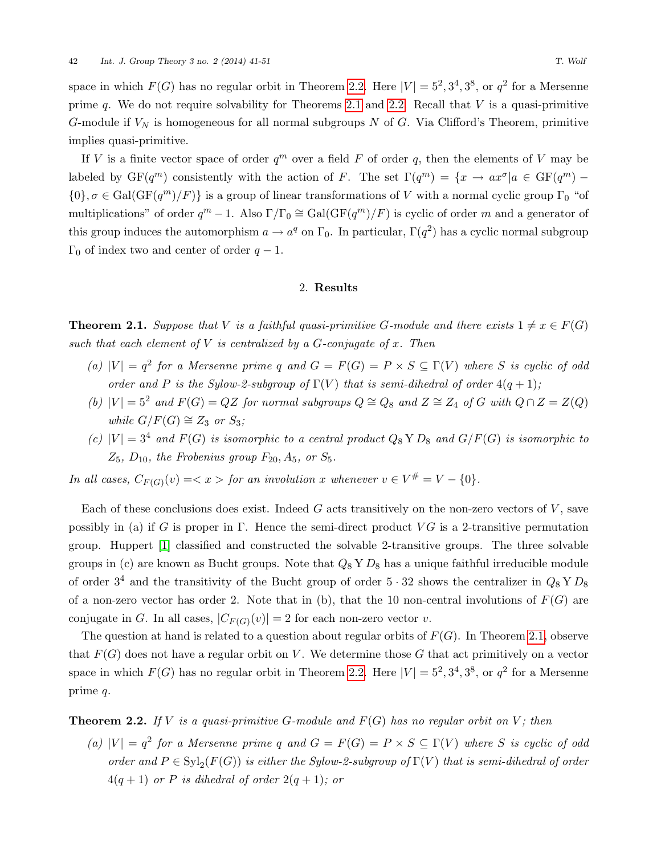space in which  $F(G)$  has no regular orbit in Theorem [2.2.](#page-1-0) Here  $|V| = 5^2, 3^4, 3^8$ , or  $q^2$  for a Mersenne prime  $q$ . We do not require solvability for Theorems [2.1](#page-1-1) and [2.2.](#page-1-0) Recall that  $V$  is a quasi-primitive G-module if  $V_N$  is homogeneous for all normal subgroups N of G. Via Clifford's Theorem, primitive implies quasi-primitive.

If V is a finite vector space of order  $q^m$  over a field F of order q, then the elements of V may be labeled by  $GF(q^m)$  consistently with the action of F. The set  $\Gamma(q^m) = \{x \to ax^{\sigma} | a \in GF(q^m) - \Gamma\}$  ${0}, \sigma \in \text{Gal}(\text{GF}(q^m)/F)$  is a group of linear transformations of V with a normal cyclic group  $\Gamma_0$  "of multiplications" of order  $q^m - 1$ . Also  $\Gamma/\Gamma_0 \cong \text{Gal}(\text{GF}(q^m)/F)$  is cyclic of order m and a generator of this group induces the automorphism  $a \to a^q$  on  $\Gamma_0$ . In particular,  $\Gamma(q^2)$  has a cyclic normal subgroup  $\Gamma_0$  of index two and center of order  $q-1$ .

## 2. Results

<span id="page-1-1"></span>**Theorem 2.1.** Suppose that V is a faithful quasi-primitive G-module and there exists  $1 \neq x \in F(G)$ such that each element of  $V$  is centralized by a  $G$ -conjugate of  $x$ . Then

- (a)  $|V| = q^2$  for a Mersenne prime q and  $G = F(G) = P \times S \subseteq \Gamma(V)$  where S is cyclic of odd order and P is the Sylow-2-subgroup of  $\Gamma(V)$  that is semi-dihedral of order  $4(q + 1)$ ;
- (b)  $|V| = 5^2$  and  $F(G) = QZ$  for normal subgroups  $Q \cong Q_8$  and  $Z \cong Z_4$  of G with  $Q \cap Z = Z(Q)$ while  $G/F(G) \cong Z_3$  or  $S_3$ ;
- (c)  $|V| = 3<sup>4</sup>$  and  $F(G)$  is isomorphic to a central product  $Q_8 Y D_8$  and  $G/F(G)$  is isomorphic to  $Z_5$ ,  $D_{10}$ , the Frobenius group  $F_{20}$ ,  $A_5$ , or  $S_5$ .

In all cases,  $C_{F(G)}(v) = \langle x \rangle$  for an involution x whenever  $v \in V^{\#} = V - \{0\}.$ 

Each of these conclusions does exist. Indeed  $G$  acts transitively on the non-zero vectors of  $V$ , save possibly in (a) if G is proper in  $\Gamma$ . Hence the semi-direct product VG is a 2-transitive permutation group. Huppert [\[1\]](#page-10-1) classified and constructed the solvable 2-transitive groups. The three solvable groups in (c) are known as Bucht groups. Note that  $Q_8$  Y  $D_8$  has a unique faithful irreducible module of order  $3^4$  and the transitivity of the Bucht group of order  $5 \cdot 32$  shows the centralizer in  $Q_8$  Y  $D_8$ of a non-zero vector has order 2. Note that in (b), that the 10 non-central involutions of  $F(G)$  are conjugate in G. In all cases,  $|C_{F(G)}(v)| = 2$  for each non-zero vector v.

The question at hand is related to a question about regular orbits of  $F(G)$ . In Theorem [2.1,](#page-1-1) observe that  $F(G)$  does not have a regular orbit on V. We determine those G that act primitively on a vector space in which  $F(G)$  has no regular orbit in Theorem [2.2.](#page-1-0) Here  $|V| = 5^2, 3^4, 3^8$ , or  $q^2$  for a Mersenne prime q.

<span id="page-1-0"></span>**Theorem 2.2.** If V is a quasi-primitive G-module and  $F(G)$  has no regular orbit on V; then

(a)  $|V| = q^2$  for a Mersenne prime q and  $G = F(G) = P \times S \subseteq \Gamma(V)$  where S is cyclic of odd order and  $P \in \mathrm{Syl}_2(F(G))$  is either the Sylow-2-subgroup of  $\Gamma(V)$  that is semi-dihedral of order  $4(q+1)$  or P is dihedral of order  $2(q+1)$ ; or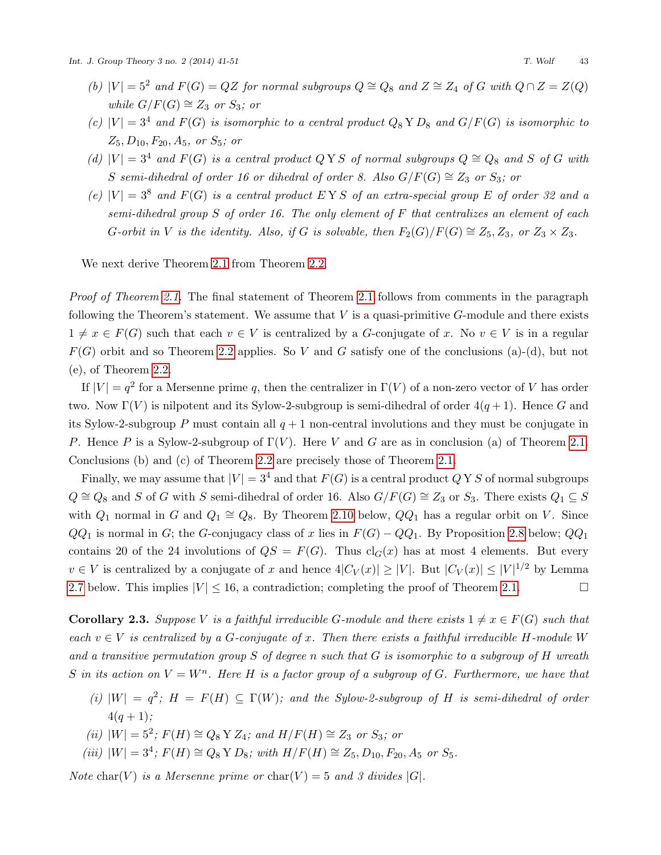- (b)  $|V| = 5^2$  and  $F(G) = QZ$  for normal subgroups  $Q \cong Q_8$  and  $Z \cong Z_4$  of G with  $Q \cap Z = Z(Q)$ while  $G/F(G) \cong Z_3$  or  $S_3$ ; or
- (c)  $|V| = 3^4$  and  $F(G)$  is isomorphic to a central product  $Q_8 Y D_8$  and  $G/F(G)$  is isomorphic to  $Z_5, D_{10}, F_{20}, A_5, \text{ or } S_5; \text{ or}$
- (d)  $|V| = 3^4$  and  $F(G)$  is a central product Q Y S of normal subgroups  $Q \cong Q_8$  and S of G with S semi-dihedral of order 16 or dihedral of order 8. Also  $G/F(G) \cong Z_3$  or  $S_3$ ; or
- (e)  $|V| = 3^8$  and  $F(G)$  is a central product EYS of an extra-special group E of order 32 and a semi-dihedral group S of order 16. The only element of F that centralizes an element of each G-orbit in V is the identity. Also, if G is solvable, then  $F_2(G)/F(G) \cong Z_5, Z_3$ , or  $Z_3 \times Z_3$ .

We next derive Theorem [2.1](#page-1-1) from Theorem [2.2.](#page-1-0)

Proof of Theorem [2.1.](#page-1-1) The final statement of Theorem [2.1](#page-1-1) follows from comments in the paragraph following the Theorem's statement. We assume that  $V$  is a quasi-primitive  $G$ -module and there exists  $1 \neq x \in F(G)$  such that each  $v \in V$  is centralized by a G-conjugate of x. No  $v \in V$  is in a regular  $F(G)$  orbit and so Theorem [2.2](#page-1-0) applies. So V and G satisfy one of the conclusions (a)-(d), but not (e), of Theorem [2.2.](#page-1-0)

If  $|V| = q^2$  for a Mersenne prime q, then the centralizer in  $\Gamma(V)$  of a non-zero vector of V has order two. Now  $\Gamma(V)$  is nilpotent and its Sylow-2-subgroup is semi-dihedral of order  $4(q+1)$ . Hence G and its Sylow-2-subgroup P must contain all  $q + 1$  non-central involutions and they must be conjugate in P. Hence P is a Sylow-2-subgroup of  $\Gamma(V)$ . Here V and G are as in conclusion (a) of Theorem [2.1.](#page-1-1) Conclusions (b) and (c) of Theorem [2.2](#page-1-0) are precisely those of Theorem [2.1.](#page-1-1)

Finally, we may assume that  $|V| = 3^4$  and that  $F(G)$  is a central product  $\overline{Q} Y S$  of normal subgroups  $Q \cong Q_8$  and S of G with S semi-dihedral of order 16. Also  $G/F(G) \cong Z_3$  or  $S_3$ . There exists  $Q_1 \subseteq S$ with  $Q_1$  normal in G and  $Q_1 \cong Q_8$ . By Theorem [2.10](#page-5-0) below,  $QQ_1$  has a regular orbit on V. Since  $QQ_1$  is normal in G; the G-conjugacy class of x lies in  $F(G) - QQ_1$ . By Proposition [2.8](#page-5-1) below;  $QQ_1$ contains 20 of the 24 involutions of  $QS = F(G)$ . Thus  $cl_G(x)$  has at most 4 elements. But every  $v \in V$  is centralized by a conjugate of x and hence  $4|C_V(x)| \geq |V|$ . But  $|C_V(x)| \leq |V|^{1/2}$  by Lemma [2.7](#page-4-0) below. This implies  $|V| \le 16$ , a contradiction; completing the proof of Theorem [2.1.](#page-1-1)

<span id="page-2-0"></span>**Corollary 2.3.** Suppose V is a faithful irreducible G-module and there exists  $1 \neq x \in F(G)$  such that each  $v \in V$  is centralized by a G-conjugate of x. Then there exists a faithful irreducible H-module W and a transitive permutation group  $S$  of degree n such that  $G$  is isomorphic to a subgroup of  $H$  wreath S in its action on  $V = W<sup>n</sup>$ . Here H is a factor group of a subgroup of G. Furthermore, we have that

- (i)  $|W| = q^2$ ;  $H = F(H) \subseteq \Gamma(W)$ ; and the Sylow-2-subgroup of H is semi-dihedral of order  $4(a + 1)$ :
- (ii)  $|W| = 5^2$ ;  $F(H) ≅ Q_8$  Y  $Z_4$ ; and  $H/F(H) ≅ Z_3$  or  $S_3$ ; or
- (iii)  $|W| = 3^4$ ;  $F(H) \cong Q_8$  Y  $D_8$ ; with  $H/F(H) \cong Z_5$ ,  $D_{10}$ ,  $F_{20}$ ,  $A_5$  or  $S_5$ .

Note char(V) is a Mersenne prime or char(V) = 5 and 3 divides |G|.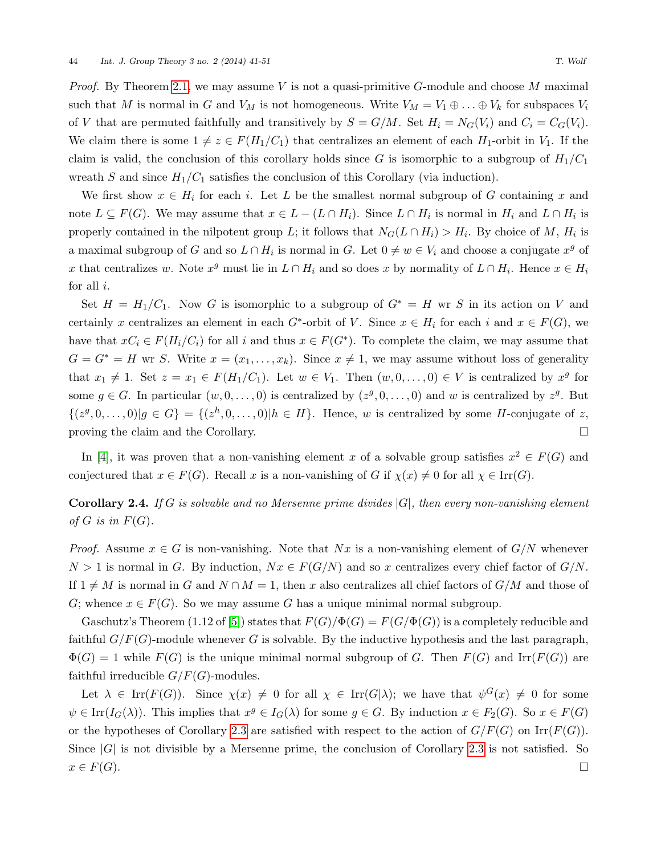*Proof.* By Theorem [2.1,](#page-1-1) we may assume V is not a quasi-primitive G-module and choose M maximal such that M is normal in G and  $V_M$  is not homogeneous. Write  $V_M = V_1 \oplus \ldots \oplus V_k$  for subspaces  $V_i$ of V that are permuted faithfully and transitively by  $S = G/M$ . Set  $H_i = N_G(V_i)$  and  $C_i = C_G(V_i)$ . We claim there is some  $1 \neq z \in F(H_1/C_1)$  that centralizes an element of each  $H_1$ -orbit in  $V_1$ . If the claim is valid, the conclusion of this corollary holds since G is isomorphic to a subgroup of  $H_1/C_1$ wreath S and since  $H_1/C_1$  satisfies the conclusion of this Corollary (via induction).

We first show  $x \in H_i$  for each i. Let L be the smallest normal subgroup of G containing x and note  $L \subseteq F(G)$ . We may assume that  $x \in L - (L \cap H_i)$ . Since  $L \cap H_i$  is normal in  $H_i$  and  $L \cap H_i$  is properly contained in the nilpotent group L; it follows that  $N_G(L \cap H_i) > H_i$ . By choice of M,  $H_i$  is a maximal subgroup of G and so  $L \cap H_i$  is normal in G. Let  $0 \neq w \in V_i$  and choose a conjugate  $x^g$  of x that centralizes w. Note  $x^g$  must lie in  $L \cap H_i$  and so does x by normality of  $L \cap H_i$ . Hence  $x \in H_i$ for all  $i$ .

Set  $H = H_1/C_1$ . Now G is isomorphic to a subgroup of  $G^* = H$  wr S in its action on V and certainly x centralizes an element in each  $G^*$ -orbit of V. Since  $x \in H_i$  for each i and  $x \in F(G)$ , we have that  $xC_i \in F(H_i/C_i)$  for all i and thus  $x \in F(G^*)$ . To complete the claim, we may assume that  $G = G^* = H$  wr S. Write  $x = (x_1, \ldots, x_k)$ . Since  $x \neq 1$ , we may assume without loss of generality that  $x_1 \neq 1$ . Set  $z = x_1 \in F(H_1/C_1)$ . Let  $w \in V_1$ . Then  $(w, 0, \ldots, 0) \in V$  is centralized by  $x^g$  for some  $g \in G$ . In particular  $(w, 0, \ldots, 0)$  is centralized by  $(z<sup>g</sup>, 0, \ldots, 0)$  and w is centralized by  $z<sup>g</sup>$ . But  $\{(z^g,0,\ldots,0)|g\in G\} = \{(z^h,0,\ldots,0)|h\in H\}.$  Hence, w is centralized by some H-conjugate of z, proving the claim and the Corollary.

In [\[4\]](#page-10-0), it was proven that a non-vanishing element x of a solvable group satisfies  $x^2 \in F(G)$  and conjectured that  $x \in F(G)$ . Recall x is a non-vanishing of G if  $\chi(x) \neq 0$  for all  $\chi \in \text{Irr}(G)$ .

**Corollary 2.4.** If G is solvable and no Mersenne prime divides  $|G|$ , then every non-vanishing element of G is in  $F(G)$ .

*Proof.* Assume  $x \in G$  is non-vanishing. Note that  $Nx$  is a non-vanishing element of  $G/N$  whenever  $N > 1$  is normal in G. By induction,  $Nx \in F(G/N)$  and so x centralizes every chief factor of  $G/N$ . If  $1 \neq M$  is normal in G and  $N \cap M = 1$ , then x also centralizes all chief factors of  $G/M$  and those of G; whence  $x \in F(G)$ . So we may assume G has a unique minimal normal subgroup.

Gaschutz's Theorem (1.12 of [\[5\]](#page-10-2)) states that  $F(G)/\Phi(G) = F(G/\Phi(G))$  is a completely reducible and faithful  $G/F(G)$ -module whenever G is solvable. By the inductive hypothesis and the last paragraph,  $\Phi(G) = 1$  while  $F(G)$  is the unique minimal normal subgroup of G. Then  $F(G)$  and Irr( $F(G)$ ) are faithful irreducible  $G/F(G)$ -modules.

Let  $\lambda \in \mathrm{Irr}(F(G))$ . Since  $\chi(x) \neq 0$  for all  $\chi \in \mathrm{Irr}(G|\lambda)$ ; we have that  $\psi^G(x) \neq 0$  for some  $\psi \in \text{Irr}(I_G(\lambda))$ . This implies that  $x^g \in I_G(\lambda)$  for some  $g \in G$ . By induction  $x \in F_2(G)$ . So  $x \in F(G)$ or the hypotheses of Corollary [2.3](#page-2-0) are satisfied with respect to the action of  $G/F(G)$  on Irr( $F(G)$ ). Since  $|G|$  is not divisible by a Mersenne prime, the conclusion of Corollary [2.3](#page-2-0) is not satisfied. So  $x \in F(G)$ .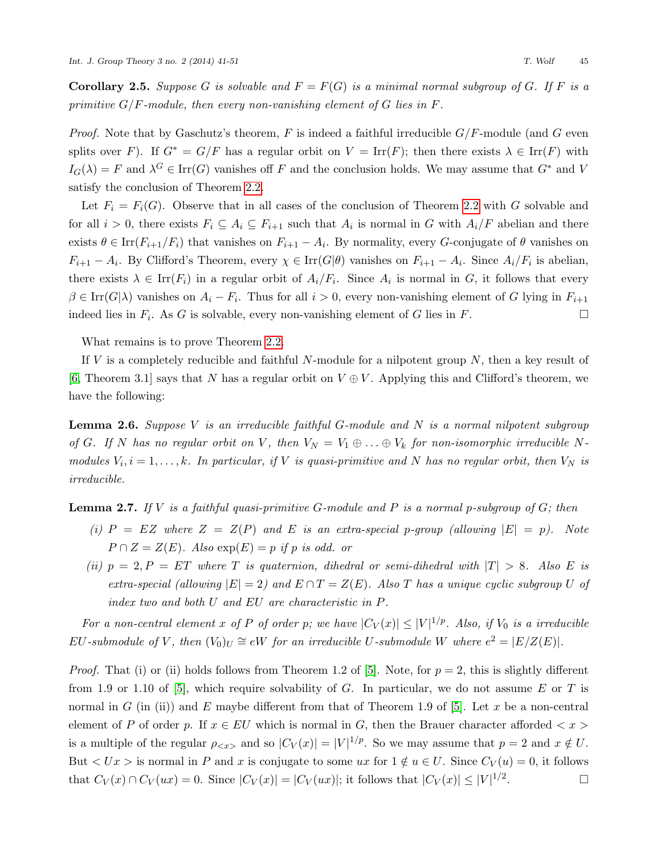**Corollary 2.5.** Suppose G is solvable and  $F = F(G)$  is a minimal normal subgroup of G. If F is a primitive  $G/F$ -module, then every non-vanishing element of G lies in F.

*Proof.* Note that by Gaschutz's theorem, F is indeed a faithful irreducible  $G/F$ -module (and G even splits over F). If  $G^* = G/F$  has a regular orbit on  $V = \text{Irr}(F)$ ; then there exists  $\lambda \in \text{Irr}(F)$  with  $I_G(\lambda) = F$  and  $\lambda^G \in \text{Irr}(G)$  vanishes off F and the conclusion holds. We may assume that  $G^*$  and V satisfy the conclusion of Theorem [2.2.](#page-1-0)

Let  $F_i = F_i(G)$ . Observe that in all cases of the conclusion of Theorem [2.2](#page-1-0) with G solvable and for all  $i > 0$ , there exists  $F_i \subseteq A_i \subseteq F_{i+1}$  such that  $A_i$  is normal in G with  $A_i/F$  abelian and there exists  $\theta \in \text{Irr}(F_{i+1}/F_i)$  that vanishes on  $F_{i+1} - A_i$ . By normality, every G-conjugate of  $\theta$  vanishes on  $F_{i+1} - A_i$ . By Clifford's Theorem, every  $\chi \in \text{Irr}(G|\theta)$  vanishes on  $F_{i+1} - A_i$ . Since  $A_i/F_i$  is abelian, there exists  $\lambda \in \text{Irr}(F_i)$  in a regular orbit of  $A_i/F_i$ . Since  $A_i$  is normal in G, it follows that every  $\beta \in \text{Irr}(G|\lambda)$  vanishes on  $A_i - F_i$ . Thus for all  $i > 0$ , every non-vanishing element of G lying in  $F_{i+1}$ indeed lies in  $F_i$ . As G is solvable, every non-vanishing element of G lies in F.

What remains is to prove Theorem [2.2.](#page-1-0)

If V is a completely reducible and faithful N-module for a nilpotent group  $N$ , then a key result of [\[6,](#page-10-3) Theorem 3.1] says that N has a regular orbit on  $V \oplus V$ . Applying this and Clifford's theorem, we have the following:

<span id="page-4-1"></span>**Lemma 2.6.** Suppose V is an irreducible faithful G-module and N is a normal nilpotent subgroup of G. If N has no regular orbit on V, then  $V_N = V_1 \oplus \ldots \oplus V_k$  for non-isomorphic irreducible Nmodules  $V_i, i = 1, \ldots, k$ . In particular, if V is quasi-primitive and N has no regular orbit, then  $V_N$  is irreducible.

# <span id="page-4-0"></span>**Lemma 2.7.** If V is a faithful quasi-primitive G-module and P is a normal p-subgroup of  $G$ ; then

- (i)  $P = EZ$  where  $Z = Z(P)$  and  $E$  is an extra-special p-group (allowing  $|E| = p$ ). Note  $P \cap Z = Z(E)$ . Also  $\exp(E) = p$  if p is odd. or
- (ii)  $p = 2, P = ET$  where T is quaternion, dihedral or semi-dihedral with  $|T| > 8$ . Also E is extra-special (allowing  $|E| = 2$ ) and  $E \cap T = Z(E)$ . Also T has a unique cyclic subgroup U of index two and both U and EU are characteristic in P.

For a non-central element x of P of order p; we have  $|C_V(x)| \leq |V|^{1/p}$ . Also, if  $V_0$  is a irreducible EU-submodule of V, then  $(V_0)_U \cong eW$  for an irreducible U-submodule W where  $e^2 = |E/Z(E)|$ .

*Proof.* That (i) or (ii) holds follows from Theorem 1.2 of [\[5\]](#page-10-2). Note, for  $p = 2$ , this is slightly different from 1.9 or 1.10 of [\[5\]](#page-10-2), which require solvability of G. In particular, we do not assume E or T is normal in G (in (ii)) and E maybe different from that of Theorem 1.9 of [\[5\]](#page-10-2). Let x be a non-central element of P of order p. If  $x \in EU$  which is normal in G, then the Brauer character afforded  $\langle x \rangle$ is a multiple of the regular  $\rho_{< x>}$  and so  $|C_V(x)| = |V|^{1/p}$ . So we may assume that  $p = 2$  and  $x \notin U$ . But  $\langle Ux \rangle$  is normal in P and x is conjugate to some ux for  $1 \notin u \in U$ . Since  $C_V(u) = 0$ , it follows that  $C_V(x) \cap C_V(ux) = 0$ . Since  $|C_V(x)| = |C_V(ux)|$ ; it follows that  $|C_V(x)| \leq |V|^{1/2}$ . — П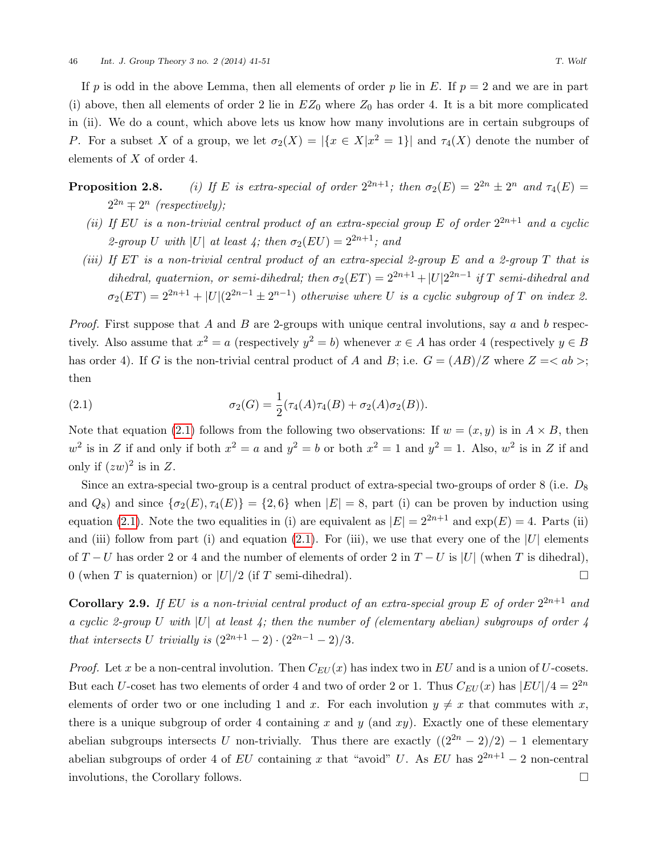If p is odd in the above Lemma, then all elements of order p lie in E. If  $p = 2$  and we are in part (i) above, then all elements of order 2 lie in  $EZ_0$  where  $Z_0$  has order 4. It is a bit more complicated in (ii). We do a count, which above lets us know how many involutions are in certain subgroups of P. For a subset X of a group, we let  $\sigma_2(X) = |\{x \in X | x^2 = 1\}|$  and  $\tau_4(X)$  denote the number of elements of X of order 4.

- <span id="page-5-1"></span>**Proposition 2.8.** (i) If E is extra-special of order  $2^{2n+1}$ ; then  $\sigma_2(E) = 2^{2n} \pm 2^n$  and  $\tau_4(E) =$  $2^{2n} \equiv 2^n$  (respectively);
	- (ii) If EU is a non-trivial central product of an extra-special group E of order  $2^{2n+1}$  and a cyclic 2-group U with |U| at least 4; then  $\sigma_2(EU) = 2^{2n+1}$ ; and
	- (iii) If ET is a non-trivial central product of an extra-special 2-group E and a 2-group T that is dihedral, quaternion, or semi-dihedral; then  $\sigma_2(ET) = 2^{2n+1} + |U|2^{2n-1}$  if T semi-dihedral and  $\sigma_2(ET) = 2^{2n+1} + |U|(2^{2n-1} \pm 2^{n-1})$  otherwise where U is a cyclic subgroup of T on index 2.

*Proof.* First suppose that A and B are 2-groups with unique central involutions, say a and b respectively. Also assume that  $x^2 = a$  (respectively  $y^2 = b$ ) whenever  $x \in A$  has order 4 (respectively  $y \in B$ has order 4). If G is the non-trivial central product of A and B; i.e.  $G = (AB)/Z$  where  $Z = \langle ab \rangle$ ; then

<span id="page-5-2"></span>(2.1) 
$$
\sigma_2(G) = \frac{1}{2} (\tau_4(A)\tau_4(B) + \sigma_2(A)\sigma_2(B)).
$$

Note that equation [\(2.1\)](#page-5-2) follows from the following two observations: If  $w = (x, y)$  is in  $A \times B$ , then  $w^2$  is in Z if and only if both  $x^2 = a$  and  $y^2 = b$  or both  $x^2 = 1$  and  $y^2 = 1$ . Also,  $w^2$  is in Z if and only if  $(zw)^2$  is in Z.

Since an extra-special two-group is a central product of extra-special two-groups of order  $8$  (i.e.  $D_8$ ) and  $Q_8$ ) and since  $\{\sigma_2(E), \tau_4(E)\} = \{2, 6\}$  when  $|E| = 8$ , part (i) can be proven by induction using equation [\(2.1\)](#page-5-2). Note the two equalities in (i) are equivalent as  $|E| = 2^{2n+1}$  and  $\exp(E) = 4$ . Parts (ii) and (iii) follow from part (i) and equation [\(2.1\)](#page-5-2). For (iii), we use that every one of the  $|U|$  elements of  $T-U$  has order 2 or 4 and the number of elements of order 2 in  $T-U$  is |U| (when T is dihedral), 0 (when T is quaternion) or  $|U|/2$  (if T semi-dihedral).

<span id="page-5-3"></span>**Corollary 2.9.** If EU is a non-trivial central product of an extra-special group E of order  $2^{2n+1}$  and a cyclic 2-group U with  $|U|$  at least 4; then the number of (elementary abelian) subgroups of order 4 that intersects U trivially is  $(2^{2n+1} - 2) \cdot (2^{2n-1} - 2)/3$ .

<span id="page-5-0"></span>*Proof.* Let x be a non-central involution. Then  $C_{EU}(x)$  has index two in EU and is a union of U-cosets. But each U-coset has two elements of order 4 and two of order 2 or 1. Thus  $C_{EU}(x)$  has  $|EU|/4 = 2^{2n}$ elements of order two or one including 1 and x. For each involution  $y \neq x$  that commutes with x, there is a unique subgroup of order 4 containing x and y (and xy). Exactly one of these elementary abelian subgroups intersects U non-trivially. Thus there are exactly  $((2^{2n} - 2)/2) - 1$  elementary abelian subgroups of order 4 of EU containing x that "avoid" U. As EU has  $2^{2n+1} - 2$  non-central involutions, the Corollary follows.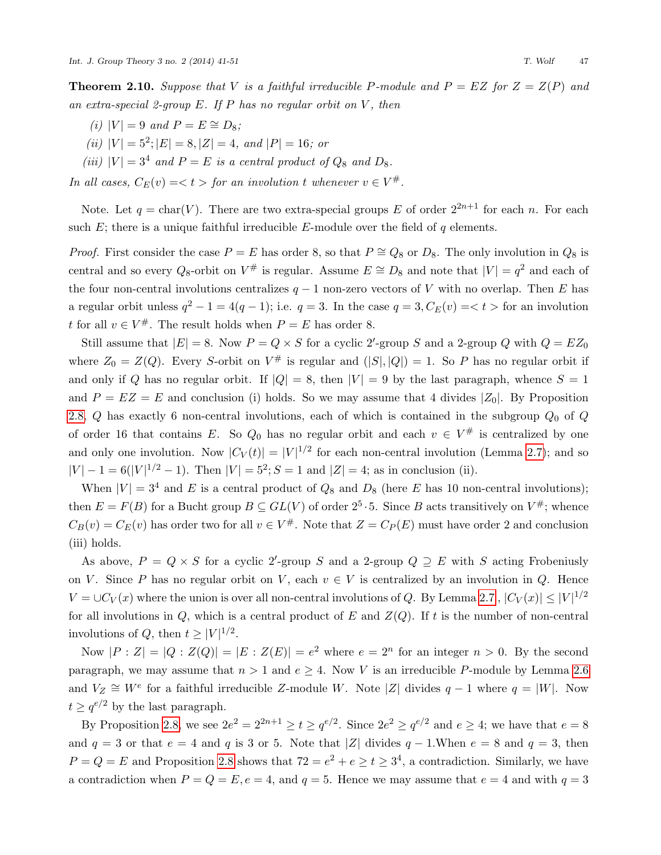**Theorem 2.10.** Suppose that V is a faithful irreducible P-module and  $P = EZ$  for  $Z = Z(P)$  and an extra-special 2-group  $E$ . If  $P$  has no regular orbit on  $V$ , then

- (i)  $|V| = 9$  and  $P = E \cong D_8$ ;
- (ii)  $|V| = 5^2$ ;  $|E| = 8$ ,  $|Z| = 4$ , and  $|P| = 16$ ; or
- (iii)  $|V| = 3^4$  and  $P = E$  is a central product of  $Q_8$  and  $D_8$ .

In all cases,  $C_E(v) = < t >$  for an involution t whenever  $v \in V^{\#}$ .

Note. Let  $q = \text{char}(V)$ . There are two extra-special groups E of order  $2^{2n+1}$  for each n. For each such  $E$ ; there is a unique faithful irreducible E-module over the field of q elements.

*Proof.* First consider the case  $P = E$  has order 8, so that  $P \cong Q_8$  or  $D_8$ . The only involution in  $Q_8$  is central and so every  $Q_8$ -orbit on  $V^{\#}$  is regular. Assume  $E \cong D_8$  and note that  $|V| = q^2$  and each of the four non-central involutions centralizes  $q-1$  non-zero vectors of V with no overlap. Then E has a regular orbit unless  $q^2 - 1 = 4(q - 1)$ ; i.e.  $q = 3$ . In the case  $q = 3$ ,  $C_E(v) = 5$  for an involution t for all  $v \in V^{\#}$ . The result holds when  $P = E$  has order 8.

Still assume that  $|E| = 8$ . Now  $P = Q \times S$  for a cyclic 2'-group S and a 2-group Q with  $Q = EZ_0$ where  $Z_0 = Z(Q)$ . Every S-orbit on  $V^{\#}$  is regular and  $(|S|, |Q|) = 1$ . So P has no regular orbit if and only if Q has no regular orbit. If  $|Q| = 8$ , then  $|V| = 9$  by the last paragraph, whence  $S = 1$ and  $P = EZ = E$  and conclusion (i) holds. So we may assume that 4 divides  $|Z_0|$ . By Proposition [2.8,](#page-5-1)  $Q$  has exactly 6 non-central involutions, each of which is contained in the subgroup  $Q_0$  of  $Q$ of order 16 that contains E. So  $Q_0$  has no regular orbit and each  $v \in V^{\#}$  is centralized by one and only one involution. Now  $|C_V(t)| = |V|^{1/2}$  for each non-central involution (Lemma [2.7\)](#page-4-0); and so  $|V| - 1 = 6(|V|^{1/2} - 1)$ . Then  $|V| = 5^2$ ;  $S = 1$  and  $|Z| = 4$ ; as in conclusion (ii).

When  $|V| = 3^4$  and E is a central product of  $Q_8$  and  $D_8$  (here E has 10 non-central involutions); then  $E = F(B)$  for a Bucht group  $B \subseteq GL(V)$  of order  $2^5 \cdot 5$ . Since B acts transitively on  $V^{\#}$ ; whence  $C_B(v) = C_E(v)$  has order two for all  $v \in V^{\#}$ . Note that  $Z = C_P(E)$  must have order 2 and conclusion (iii) holds.

As above,  $P = Q \times S$  for a cyclic 2'-group S and a 2-group  $Q \supseteq E$  with S acting Frobeniusly on V. Since P has no regular orbit on V, each  $v \in V$  is centralized by an involution in Q. Hence  $V = \cup C_V(x)$  where the union is over all non-central involutions of Q. By Lemma [2.7](#page-4-0),  $|C_V(x)| \leq |V|^{1/2}$ for all involutions in  $Q$ , which is a central product of E and  $Z(Q)$ . If t is the number of non-central involutions of  $Q$ , then  $t \geq |V|^{1/2}$ .

Now  $|P:Z|=|Q:Z(Q)|=|E:Z(E)|=e^2$  where  $e=2^n$  for an integer  $n>0$ . By the second paragraph, we may assume that  $n > 1$  and  $e \geq 4$ . Now V is an irreducible P-module by Lemma [2.6](#page-4-1) and  $V_Z \cong W^e$  for a faithful irreducible Z-module W. Note |Z| divides  $q-1$  where  $q = |W|$ . Now  $t \geq q^{e/2}$  by the last paragraph.

By Proposition [2.8,](#page-5-1) we see  $2e^2 = 2^{2n+1} \ge t \ge q^{e/2}$ . Since  $2e^2 \ge q^{e/2}$  and  $e \ge 4$ ; we have that  $e = 8$ and  $q = 3$  or that  $e = 4$  and q is 3 or 5. Note that |Z| divides  $q - 1$ . When  $e = 8$  and  $q = 3$ , then  $P = Q = E$  and Proposition [2.8](#page-5-1) shows that  $72 = e^2 + e \ge t \ge 3^4$ , a contradiction. Similarly, we have a contradiction when  $P = Q = E, e = 4$ , and  $q = 5$ . Hence we may assume that  $e = 4$  and with  $q = 3$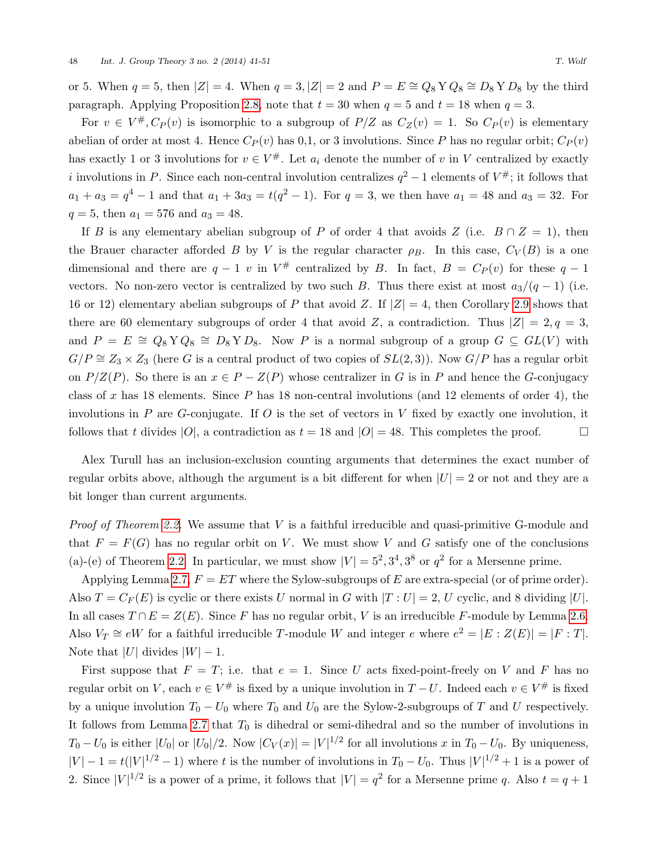or 5. When  $q = 5$ , then  $|Z| = 4$ . When  $q = 3, |Z| = 2$  and  $P = E \cong Q_8 Y Q_8 \cong D_8 Y D_8$  by the third paragraph. Applying Proposition [2.8,](#page-5-1) note that  $t = 30$  when  $q = 5$  and  $t = 18$  when  $q = 3$ .

For  $v \in V^{\#}, C_P(v)$  is isomorphic to a subgroup of  $P/Z$  as  $C_Z(v) = 1$ . So  $C_P(v)$  is elementary abelian of order at most 4. Hence  $C_P(v)$  has 0,1, or 3 involutions. Since P has no regular orbit;  $C_P(v)$ has exactly 1 or 3 involutions for  $v \in V^*$ . Let  $a_i$  denote the number of v in V centralized by exactly i involutions in P. Since each non-central involution centralizes  $q^2 - 1$  elements of  $V^{\#}$ ; it follows that  $a_1 + a_3 = q^4 - 1$  and that  $a_1 + 3a_3 = t(q^2 - 1)$ . For  $q = 3$ , we then have  $a_1 = 48$  and  $a_3 = 32$ . For  $q = 5$ , then  $a_1 = 576$  and  $a_3 = 48$ .

If B is any elementary abelian subgroup of P of order 4 that avoids Z (i.e.  $B \cap Z = 1$ ), then the Brauer character afforded B by V is the regular character  $\rho_B$ . In this case,  $C_V(B)$  is a one dimensional and there are  $q-1$  v in  $V^{\#}$  centralized by B. In fact,  $B = C_P(v)$  for these  $q-1$ vectors. No non-zero vector is centralized by two such B. Thus there exist at most  $a_3/(q-1)$  (i.e. 16 or 12) elementary abelian subgroups of P that avoid Z. If  $|Z| = 4$ , then Corollary [2.9](#page-5-3) shows that there are 60 elementary subgroups of order 4 that avoid Z, a contradiction. Thus  $|Z| = 2, q = 3$ , and  $P = E \cong Q_8 Y Q_8 \cong D_8 Y D_8$ . Now P is a normal subgroup of a group  $G \subseteq GL(V)$  with  $G/P \cong Z_3 \times Z_3$  (here G is a central product of two copies of  $SL(2,3)$ ). Now  $G/P$  has a regular orbit on  $P/Z(P)$ . So there is an  $x \in P - Z(P)$  whose centralizer in G is in P and hence the G-conjugacy class of  $x$  has 18 elements. Since  $P$  has 18 non-central involutions (and 12 elements of order 4), the involutions in  $P$  are  $G$ -conjugate. If  $O$  is the set of vectors in  $V$  fixed by exactly one involution, it follows that t divides  $|O|$ , a contradiction as  $t = 18$  and  $|O| = 48$ . This completes the proof.

Alex Turull has an inclusion-exclusion counting arguments that determines the exact number of regular orbits above, although the argument is a bit different for when  $|U| = 2$  or not and they are a bit longer than current arguments.

*Proof of Theorem [2.2.](#page-1-0)* We assume that  $V$  is a faithful irreducible and quasi-primitive G-module and that  $F = F(G)$  has no regular orbit on V. We must show V and G satisfy one of the conclusions (a)-(e) of Theorem [2.2.](#page-1-0) In particular, we must show  $|V| = 5^2, 3^4, 3^8$  or  $q^2$  for a Mersenne prime.

Applying Lemma [2.7,](#page-4-0)  $F = ET$  where the Sylow-subgroups of E are extra-special (or of prime order). Also  $T = C_F(E)$  is cyclic or there exists U normal in G with  $|T:U| = 2$ , U cyclic, and 8 dividing U. In all cases  $T \cap E = Z(E)$ . Since F has no regular orbit, V is an irreducible F-module by Lemma [2.6.](#page-4-1) Also  $V_T \cong eW$  for a faithful irreducible T-module W and integer e where  $e^2 = |E : Z(E)| = |F : T|$ . Note that |U| divides  $|W| - 1$ .

First suppose that  $F = T$ ; i.e. that  $e = 1$ . Since U acts fixed-point-freely on V and F has no regular orbit on V, each  $v \in V^{\#}$  is fixed by a unique involution in  $T-U$ . Indeed each  $v \in V^{\#}$  is fixed by a unique involution  $T_0 - U_0$  where  $T_0$  and  $U_0$  are the Sylow-2-subgroups of T and U respectively. It follows from Lemma [2.7](#page-4-0) that  $T_0$  is dihedral or semi-dihedral and so the number of involutions in  $T_0 - U_0$  is either  $|U_0|$  or  $|U_0|/2$ . Now  $|C_V(x)| = |V|^{1/2}$  for all involutions x in  $T_0 - U_0$ . By uniqueness,  $|V| - 1 = t(|V|^{1/2} - 1)$  where t is the number of involutions in  $T_0 - U_0$ . Thus  $|V|^{1/2} + 1$  is a power of 2. Since  $|V|^{1/2}$  is a power of a prime, it follows that  $|V| = q^2$  for a Mersenne prime q. Also  $t = q + 1$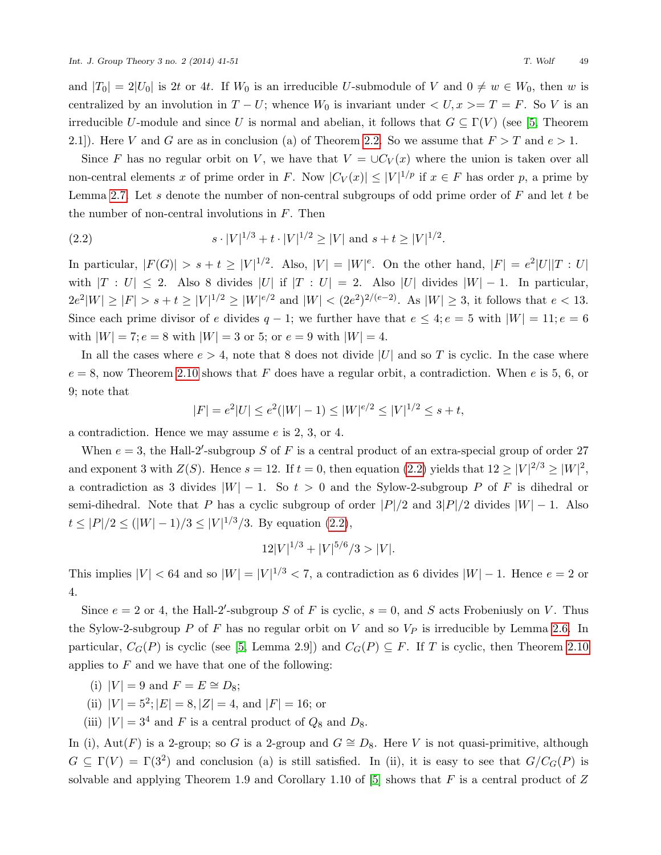and  $|T_0| = 2|U_0|$  is 2t or 4t. If  $W_0$  is an irreducible U-submodule of V and  $0 \neq w \in W_0$ , then w is centralized by an involution in  $T - U$ ; whence  $W_0$  is invariant under  $\langle U, x \rangle = T = F$ . So V is an irreducible U-module and since U is normal and abelian, it follows that  $G \subseteq \Gamma(V)$  (see [\[5,](#page-10-2) Theorem 2.1]). Here V and G are as in conclusion (a) of Theorem [2.2.](#page-1-0) So we assume that  $F > T$  and  $e > 1$ .

Since F has no regular orbit on V, we have that  $V = \bigcup C_V(x)$  where the union is taken over all non-central elements x of prime order in F. Now  $|C_V(x)| \leq |V|^{1/p}$  if  $x \in F$  has order p, a prime by Lemma [2.7.](#page-4-0) Let s denote the number of non-central subgroups of odd prime order of  $F$  and let  $t$  be the number of non-central involutions in  $F$ . Then

<span id="page-8-0"></span>(2.2) 
$$
s \cdot |V|^{1/3} + t \cdot |V|^{1/2} \ge |V| \text{ and } s + t \ge |V|^{1/2}.
$$

In particular,  $|F(G)| > s+t \geq |V|^{1/2}$ . Also,  $|V| = |W|^e$ . On the other hand,  $|F| = e^2|U||T:U|$ with  $|T : U| \le 2$ . Also 8 divides  $|U|$  if  $|T : U| = 2$ . Also  $|U|$  divides  $|W| - 1$ . In particular,  $2e^2|W| \geq |F| > s+t \geq |V|^{1/2} \geq |W|^{e/2}$  and  $|W| < (2e^2)^{2/(e-2)}$ . As  $|W| \geq 3$ , it follows that  $e < 13$ . Since each prime divisor of e divides  $q-1$ ; we further have that  $e \leq 4$ ;  $e = 5$  with  $|W| = 11$ ;  $e = 6$ with  $|W| = 7; e = 8$  with  $|W| = 3$  or 5; or  $e = 9$  with  $|W| = 4$ .

In all the cases where  $e > 4$ , note that 8 does not divide |U| and so T is cyclic. In the case where  $e = 8$ , now Theorem [2.10](#page-5-0) shows that F does have a regular orbit, a contradiction. When e is 5, 6, or 9; note that

$$
|F| = e^2|U| \le e^2(|W| - 1) \le |W|^{e/2} \le |V|^{1/2} \le s + t,
$$

a contradiction. Hence we may assume e is 2, 3, or 4.

When  $e = 3$ , the Hall-2'-subgroup S of F is a central product of an extra-special group of order 27 and exponent 3 with  $Z(S)$ . Hence  $s = 12$ . If  $t = 0$ , then equation [\(2.2\)](#page-8-0) yields that  $12 \ge |V|^{2/3} \ge |W|^2$ , a contradiction as 3 divides  $|W| - 1$ . So  $t > 0$  and the Sylow-2-subgroup P of F is dihedral or semi-dihedral. Note that P has a cyclic subgroup of order  $|P|/2$  and  $3|P|/2$  divides  $|W| - 1$ . Also  $t \leq |P|/2 \leq (|W|-1)/3 \leq |V|^{1/3}/3$ . By equation [\(2.2\)](#page-8-0),

$$
12|V|^{1/3} + |V|^{5/6}/3 > |V|.
$$

This implies  $|V| < 64$  and so  $|W| = |V|^{1/3} < 7$ , a contradiction as 6 divides  $|W| - 1$ . Hence  $e = 2$  or 4.

Since  $e = 2$  or 4, the Hall-2'-subgroup S of F is cyclic,  $s = 0$ , and S acts Frobeniusly on V. Thus the Sylow-2-subgroup P of F has no regular orbit on V and so  $V_P$  is irreducible by Lemma [2.6.](#page-4-1) In particular,  $C_G(P)$  is cyclic (see [\[5,](#page-10-2) Lemma 2.9]) and  $C_G(P) \subseteq F$ . If T is cyclic, then Theorem [2.10](#page-5-0) applies to  $F$  and we have that one of the following:

- (i)  $|V| = 9$  and  $F = E \cong D_8$ ;
- (ii)  $|V| = 5^2$ ;  $|E| = 8$ ,  $|Z| = 4$ , and  $|F| = 16$ ; or
- (iii)  $|V| = 3^4$  and F is a central product of  $Q_8$  and  $D_8$ .

In (i), Aut(F) is a 2-group; so G is a 2-group and  $G \cong D_8$ . Here V is not quasi-primitive, although  $G \subseteq \Gamma(V) = \Gamma(3^2)$  and conclusion (a) is still satisfied. In (ii), it is easy to see that  $G/C<sub>G</sub>(P)$  is solvable and applying Theorem 1.9 and Corollary 1.10 of [\[5\]](#page-10-2) shows that  $F$  is a central product of  $Z$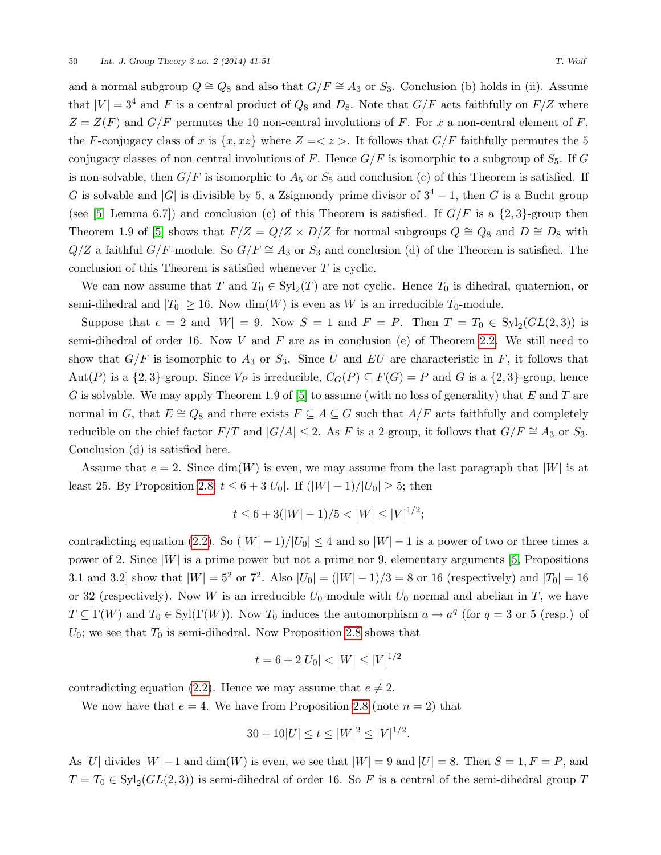and a normal subgroup  $Q \cong Q_8$  and also that  $G/F \cong A_3$  or  $S_3$ . Conclusion (b) holds in (ii). Assume that  $|V| = 3^4$  and F is a central product of  $Q_8$  and  $D_8$ . Note that  $G/F$  acts faithfully on  $F/Z$  where  $Z = Z(F)$  and  $G/F$  permutes the 10 non-central involutions of F. For x a non-central element of F, the F-conjugacy class of x is  $\{x, xz\}$  where  $Z = \langle z \rangle$ . It follows that  $G/F$  faithfully permutes the 5 conjugacy classes of non-central involutions of F. Hence  $G/F$  is isomorphic to a subgroup of  $S_5$ . If G is non-solvable, then  $G/F$  is isomorphic to  $A_5$  or  $S_5$  and conclusion (c) of this Theorem is satisfied. If G is solvable and |G| is divisible by 5, a Zsigmondy prime divisor of  $3^4 - 1$ , then G is a Bucht group (see [\[5,](#page-10-2) Lemma 6.7]) and conclusion (c) of this Theorem is satisfied. If  $G/F$  is a  $\{2,3\}$ -group then Theorem 1.9 of [\[5\]](#page-10-2) shows that  $F/Z = Q/Z \times D/Z$  for normal subgroups  $Q \cong Q_8$  and  $D \cong D_8$  with  $Q/Z$  a faithful  $G/F$ -module. So  $G/F \cong A_3$  or  $S_3$  and conclusion (d) of the Theorem is satisfied. The conclusion of this Theorem is satisfied whenever  $T$  is cyclic.

We can now assume that T and  $T_0 \in Syl_2(T)$  are not cyclic. Hence  $T_0$  is dihedral, quaternion, or semi-dihedral and  $|T_0| \geq 16$ . Now dim(W) is even as W is an irreducible  $T_0$ -module.

Suppose that  $e = 2$  and  $|W| = 9$ . Now  $S = 1$  and  $F = P$ . Then  $T = T_0 \in \text{Syl}_2(GL(2,3))$  is semi-dihedral of order 16. Now  $V$  and  $F$  are as in conclusion (e) of Theorem [2.2.](#page-1-0) We still need to show that  $G/F$  is isomorphic to  $A_3$  or  $S_3$ . Since U and EU are characteristic in F, it follows that Aut(P) is a  $\{2,3\}$ -group. Since  $V_P$  is irreducible,  $C_G(P) \subseteq F(G) = P$  and G is a  $\{2,3\}$ -group, hence G is solvable. We may apply Theorem 1.9 of  $[5]$  to assume (with no loss of generality) that E and T are normal in G, that  $E \cong Q_8$  and there exists  $F \subseteq A \subseteq G$  such that  $A/F$  acts faithfully and completely reducible on the chief factor  $F/T$  and  $|G/A|$  ≤ 2. As F is a 2-group, it follows that  $G/F \cong A_3$  or  $S_3$ . Conclusion (d) is satisfied here.

Assume that  $e = 2$ . Since dim(W) is even, we may assume from the last paragraph that |W| is at least 25. By Proposition [2.8;](#page-5-1)  $t \leq 6 + 3|U_0|$ . If  $(|W| - 1)/|U_0| \geq 5$ ; then

$$
t \le 6 + 3(|W| - 1)/5 < |W| \le |V|^{1/2};
$$

contradicting equation [\(2.2\)](#page-8-0). So  $(|W| - 1)/|U_0| \leq 4$  and so  $|W| - 1$  is a power of two or three times a power of 2. Since  $|W|$  is a prime power but not a prime nor 9, elementary arguments [\[5,](#page-10-2) Propositions 3.1 and 3.2] show that  $|W| = 5^2$  or  $7^2$ . Also  $|U_0| = (|W|-1)/3 = 8$  or 16 (respectively) and  $|T_0| = 16$ or 32 (respectively). Now W is an irreducible  $U_0$ -module with  $U_0$  normal and abelian in T, we have  $T \subseteq \Gamma(W)$  and  $T_0 \in \text{Syl}(\Gamma(W))$ . Now  $T_0$  induces the automorphism  $a \to a^q$  (for  $q = 3$  or 5 (resp.) of  $U_0$ ; we see that  $T_0$  is semi-dihedral. Now Proposition [2.8](#page-5-1) shows that

$$
t = 6 + 2|U_0| < |W| \le |V|^{1/2}
$$

contradicting equation [\(2.2\)](#page-8-0). Hence we may assume that  $e \neq 2$ .

We now have that  $e = 4$ . We have from Proposition [2.8](#page-5-1) (note  $n = 2$ ) that

$$
30 + 10|U| \le t \le |W|^2 \le |V|^{1/2}.
$$

As |U| divides  $|W| - 1$  and  $dim(W)$  is even, we see that  $|W| = 9$  and  $|U| = 8$ . Then  $S = 1, F = P$ , and  $T = T_0 \in Syl_2(GL(2,3))$  is semi-dihedral of order 16. So F is a central of the semi-dihedral group T